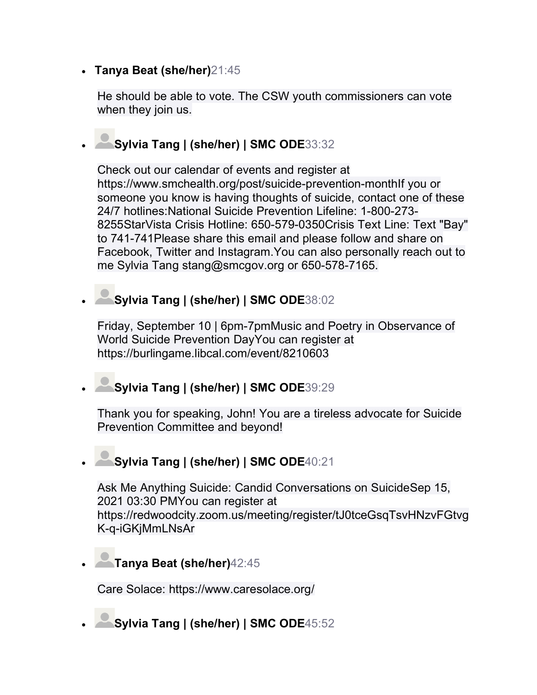#### • **Tanya Beat (she/her)**21:45

He should be able to vote. The CSW youth commissioners can vote when they join us.

### • **Sylvia Tang | (she/her) | SMC ODE**33:32

Check out our calendar of events and register at https://www.smchealth.org/post/suicide-prevention-monthIf you or someone you know is having thoughts of suicide, contact one of these 24/7 hotlines:National Suicide Prevention Lifeline: 1-800-273- 8255StarVista Crisis Hotline: 650-579-0350Crisis Text Line: Text "Bay" to 741-741Please share this email and please follow and share on Facebook, Twitter and Instagram.You can also personally reach out to me Sylvia Tang stang@smcgov.org or 650-578-7165.

# • **Sylvia Tang | (she/her) | SMC ODE**38:02

Friday, September 10 | 6pm-7pmMusic and Poetry in Observance of World Suicide Prevention DayYou can register at https://burlingame.libcal.com/event/8210603

### • **Sylvia Tang | (she/her) | SMC ODE**39:29

Thank you for speaking, John! You are a tireless advocate for Suicide Prevention Committee and beyond!

# • **Sylvia Tang | (she/her) | SMC ODE**40:21

Ask Me Anything Suicide: Candid Conversations on SuicideSep 15, 2021 03:30 PMYou can register at https://redwoodcity.zoom.us/meeting/register/tJ0tceGsqTsvHNzvFGtvg K-q-iGKjMmLNsAr

### • **Tanya Beat (she/her)**42:45

Care Solace: https://www.caresolace.org/

• **Sylvia Tang | (she/her) | SMC ODE**45:52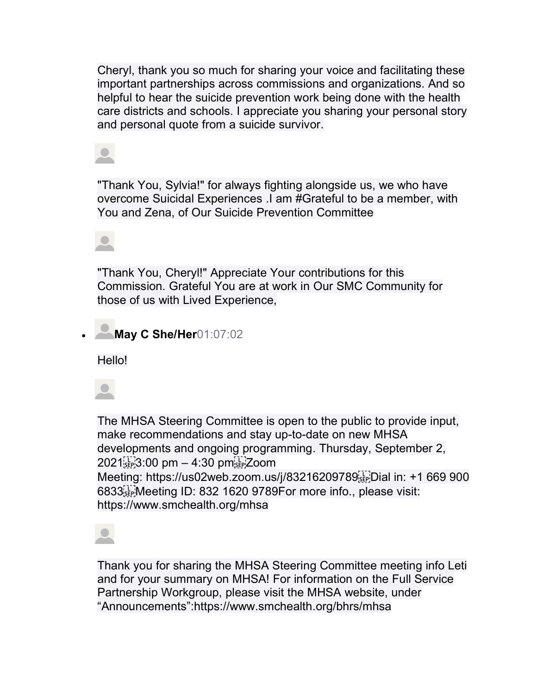Cheryl, thank you so much for sharing your voice and facilitating these important partnerships across commissions and organizations. And so helpful to hear the suicide prevention work being done with the health care districts and schools. I appreciate you sharing your personal story and personal quote from a suicide survivor.

"Thank You, Sylvia!" for always fighting alongside us, we who have overcome Suicidal Experiences .I am #Grateful to be a member, with You and Zena, of Our Suicide Prevention Committee

"Thank You, Cheryl!" Appreciate Your contributions for this Commission. Grateful You are at work in Our SMC Community for those of us with Lived Experience,

• **May C She/Her**01:07:02

Hello!



The MHSA Steering Committee is open to the public to provide input, make recommendations and stay up-to-date on new MHSA developments and ongoing programming. Thursday, September 2,  $2021_{\text{SEP}}^{[1,1]}3:00 \text{ pm} - 4:30 \text{ pm}_{\text{SEP}}^{[1,1]}$ Zoom Meeting: https://us02web.zoom.us/j/83216209789 Dial in: +1 669 900 6833 Meeting ID: 832 1620 9789For more info., please visit: https://www.smchealth.org/mhsa

Thank you for sharing the MHSA Steering Committee meeting info Leti and for your summary on MHSA! For information on the Full Service Partnership Workgroup, please visit the MHSA website, under "Announcements":https://www.smchealth.org/bhrs/mhsa